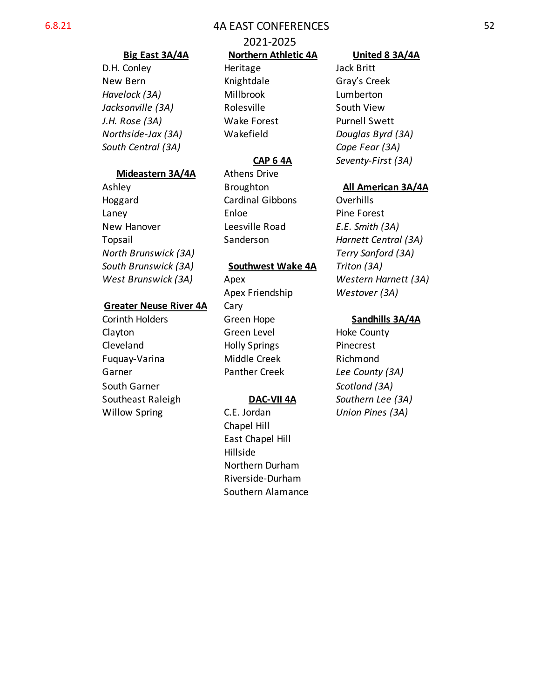# 6.8.21 4A EAST CONFERENCES

# 2021-2025

D.H. Conley **Heritage** Jack Britt *Havelock (3A)* Millbrook Lumberton *Jacksonville (3A)* Rolesville South View

Mideastern 3A/4A Athens Drive Hoggard Cardinal Gibbons Overhills Laney **Enloe Pine Forest** New Hanover Leesville Road *E.E. Smith (3A)*

### *South Brunswick (3A)* **Southwest Wake 4A** *Triton (3A)*

Apex Friendship *Westover (3A)* **Greater Neuse River 4A Cary** Corinth Holders **Green Hope Sandhills 3A/4A** Clayton Green Level Hoke County Cleveland Holly Springs Pinecrest Fuquay-Varina Middle Creek Richmond Garner **Panther Creek** *Lee County (3A)* 

Willow Spring C.E. Jordan *Union Pines (3A)* Chapel Hill East Chapel Hill Hillside Northern Durham Riverside-Durham Southern Alamance

# **Big East 3A/4A Northern Athletic 4A United 8 3A/4A**

New Bern **Knightdale** Gray's Creek *J.H. Rose (3A)* Wake Forest Purnell Swett *Northside-Jax (3A)* Wakefield *Douglas Byrd (3A) South Central (3A) Cape Fear (3A)* **CAP 6 4A** *Seventy-First (3A)*

# Ashley **Broughton** Broughton **All American 3A/4A**

Topsail Sanderson *Harnett Central (3A) North Brunswick (3A) Terry Sanford (3A) West Brunswick (3A)* Apex *Western Harnett (3A)*

South Garner *Scotland (3A)* Southeast Raleigh **DAC-VII 4A** *Southern Lee (3A)*

### 52